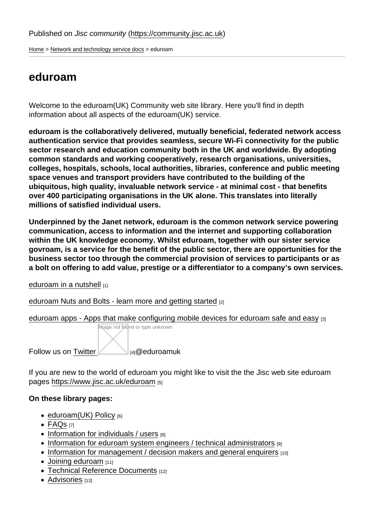[Home](https://community.jisc.ac.uk/) > [Network and technology service docs](https://community.jisc.ac.uk/library/janet-services-documentation) > eduroam

## eduroam

Welcome to the eduroam(UK) Community web site library. Here you'll find in depth information about all aspects of the eduroam(UK) service.

eduroam is the collaboratively delivered, mutually beneficial, federated network access authentication service that provides seamless, secure Wi-Fi connectivity for the public sector research and education community both in the UK and worldwide. By adopting common standards and working cooperatively, research organisations, universities, colleges, hospitals, schools, local authorities, libraries, conference and public meeting space venues and transport providers have contributed to the building of the ubiquitous, high quality, invaluable network service - at minimal cost - that benefits over 400 participating organisations in the UK alone. This translates into literally millions of satisfied individual users.

Underpinned by the Janet network, eduroam is the common network service powering communication, access to information and the internet and supporting collaboration within the UK knowledge economy. Whilst eduroam, together with our sister service govroam, is a service for the benefit of the public sector, there are opportunities for the business sector too through the commercial provision of services to participants or as a bolt on offering to add value, prestige or a differentiator to a company's own services.

[eduroam in a nutshell](https://community.jisc.ac.uk/library/network-and-technology-service-docs/eduroam-nutshell) [1]

[eduroam Nuts and Bolts - learn more and getting started](https://community.ja.net/library/network-and-technology-service-docs/eduroam-nuts-and-bolts-learn-more-and-get-started) [2]

[eduroam apps - Apps that make configuring mobile devices for eduroam safe and easy](https://wiki.geant.org/display/H2eduroam/eduroam+Apps) [3] Image not found or type unknown

Follow us on Twitter [4]@eduroamuk

If you are ne[w to the world of e](https://twitter.com/@eduroamuk)duroam you might like to visit the the Jisc web site eduroam pages<https://www.jisc.ac.uk/eduroam> [5]

On these library pages:

- $\bullet$  [eduroam\(UK\) Policy](https://community.jisc.ac.uk/library/janet-services-documentation/eduroamuk-policy) [6]
- [FAQs](https://community.jisc.ac.uk/library/janet-services-documentation/faqs) [7]
- $\bullet$  [Information for individuals / users](https://community.jisc.ac.uk/library/janet-services-documentation/information-users)  $[8]$
- $\bullet$  [Information for eduroam system engineers / technical administrators](https://community.jisc.ac.uk/library/janet-services-documentation/information-tech-admins)  $_{[9]}$
- [Information for management / decision makers and general enquirers](https://community.jisc.ac.uk/library/janet-services-documentation/information-management-and-general-enquirers) [10]
- $\bullet$  [Joining eduroam](https://community.jisc.ac.uk/library/janet-services-documentation/joining-eduroam)  $[11]$
- [Technical Reference Documents](https://community.jisc.ac.uk/library/janet-services-documentation/technical-reference-docs) [12]
- [Advisories](https://community.jisc.ac.uk/library/janet-services-documentation/eduroam/advisories) [13]